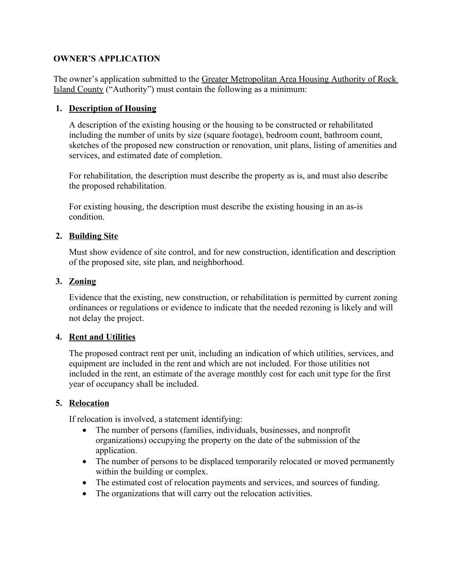## **OWNER'S APPLICATION**

The owner's application submitted to the Greater Metropolitan Area Housing Authority of Rock Island County ("Authority") must contain the following as a minimum:

## **1. Description of Housing**

A description of the existing housing or the housing to be constructed or rehabilitated including the number of units by size (square footage), bedroom count, bathroom count, sketches of the proposed new construction or renovation, unit plans, listing of amenities and services, and estimated date of completion.

For rehabilitation, the description must describe the property as is, and must also describe the proposed rehabilitation.

For existing housing, the description must describe the existing housing in an as-is condition.

### **2. Building Site**

Must show evidence of site control, and for new construction, identification and description of the proposed site, site plan, and neighborhood.

### **3. Zoning**

Evidence that the existing, new construction, or rehabilitation is permitted by current zoning ordinances or regulations or evidence to indicate that the needed rezoning is likely and will not delay the project.

### **4. Rent and Utilities**

The proposed contract rent per unit, including an indication of which utilities, services, and equipment are included in the rent and which are not included. For those utilities not included in the rent, an estimate of the average monthly cost for each unit type for the first year of occupancy shall be included.

### **5. Relocation**

If relocation is involved, a statement identifying:

- The number of persons (families, individuals, businesses, and nonprofit organizations) occupying the property on the date of the submission of the application.
- The number of persons to be displaced temporarily relocated or moved permanently within the building or complex.
- The estimated cost of relocation payments and services, and sources of funding.
- The organizations that will carry out the relocation activities.